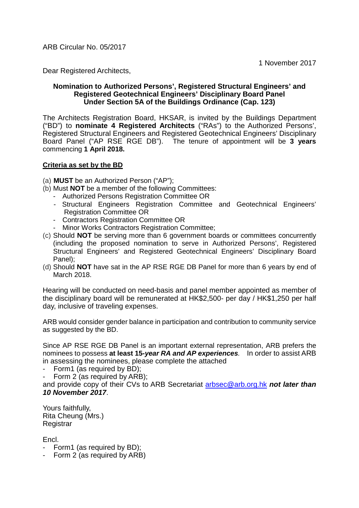ARB Circular No. 05/2017

1 November 2017

Dear Registered Architects,

### **Nomination to Authorized Persons', Registered Structural Engineers' and Registered Geotechnical Engineers' Disciplinary Board Panel Under Section 5A of the Buildings Ordinance (Cap. 123)**

The Architects Registration Board, HKSAR, is invited by the Buildings Department ("BD") to **nominate 4 Registered Architects** ("RAs") to the Authorized Persons', Registered Structural Engineers and Registered Geotechnical Engineers' Disciplinary Board Panel ("AP RSE RGE DB"). The tenure of appointment will be **3 years** commencing **1 April 2018.** 

### **Criteria as set by the BD**

- (a) **MUST** be an Authorized Person ("AP");
- (b) Must **NOT** be a member of the following Committees:
	- Authorized Persons Registration Committee OR
	- Structural Engineers Registration Committee and Geotechnical Engineers' Registration Committee OR
	- Contractors Registration Committee OR
	- Minor Works Contractors Registration Committee;
- (c) Should **NOT** be serving more than 6 government boards or committees concurrently (including the proposed nomination to serve in Authorized Persons', Registered Structural Engineers' and Registered Geotechnical Engineers' Disciplinary Board Panel);
- (d) Should **NOT** have sat in the AP RSE RGE DB Panel for more than 6 years by end of March 2018.

Hearing will be conducted on need-basis and panel member appointed as member of the disciplinary board will be remunerated at HK\$2,500- per day / HK\$1,250 per half day, inclusive of traveling expenses.

ARB would consider gender balance in participation and contribution to community service as suggested by the BD.

Since AP RSE RGE DB Panel is an important external representation, ARB prefers the nominees to possess **at least 15***-year RA and AP experiences.* In order to assist ARB in assessing the nominees, please complete the attached

- Form1 (as required by BD);
- Form 2 (as required by ARB);

and provide copy of their CVs to ARB Secretariat [arbsec@arb.org.hk](mailto:arbsec@arb.org.hk) *not later than 10 November 2017*.

Yours faithfully, Rita Cheung (Mrs.) **Registrar** 

Encl.

- Form1 (as required by BD):
- Form 2 (as required by ARB)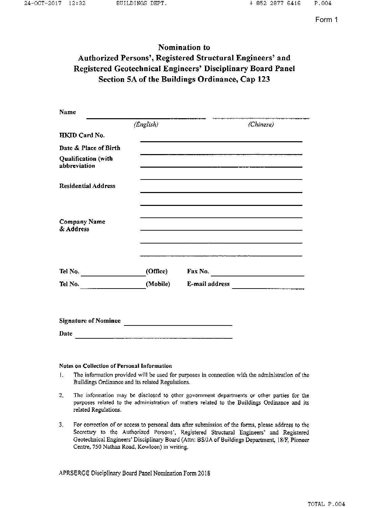# Nomination to Authorized Persons', Registered Structural Engineers' and Registered Geotechnical Engineers' Disciplinary Board Panel Section 5A of the Buildings Ordinance, Cap 123

| Name                                |           |                                                                                                                         |  |
|-------------------------------------|-----------|-------------------------------------------------------------------------------------------------------------------------|--|
|                                     | (English) | (Chinese)                                                                                                               |  |
| HKID Card No.                       |           |                                                                                                                         |  |
| Date & Place of Birth               |           |                                                                                                                         |  |
| Qualification (with<br>abbreviation |           |                                                                                                                         |  |
| <b>Residential Address</b>          |           |                                                                                                                         |  |
|                                     |           |                                                                                                                         |  |
| Company Name<br>& Address           |           |                                                                                                                         |  |
|                                     |           | a construction and successive and contract construction of selection of the characteristic distance of the construction |  |
| Tel No. $\qquad \qquad$             | (Office)  |                                                                                                                         |  |
| Tel No. $\qquad \qquad$             | (Mobile)  | E-mail address                                                                                                          |  |
| <b>Signature of Nominee</b>         |           |                                                                                                                         |  |
| Date                                |           |                                                                                                                         |  |

#### **Notes on Collection of Personal Information**

- $\mathbf{1}$ . The information provided will be used for purposes in connection with the administration of the Buildings Ordinance and its related Regulations.
- $2<sub>1</sub>$ The information may be disclosed to other government departments or other parties for the purposes related to the administration of matters related to the Buildings Ordinance and its related Regulations.
- For correction of or access to personal data after submission of the forms, please address to the 3. Secretary to the Authorized Persons', Registered Structural Engineers' and Registered Geotechnical Engineers' Disciplinary Board (Attn: BS/JA of Buildings Department, 18/F, Pioneer Centre, 750 Nathan Road, Kowloon) in writing.

APRSERGE Disciplinary Board Panel Nomination Form 2018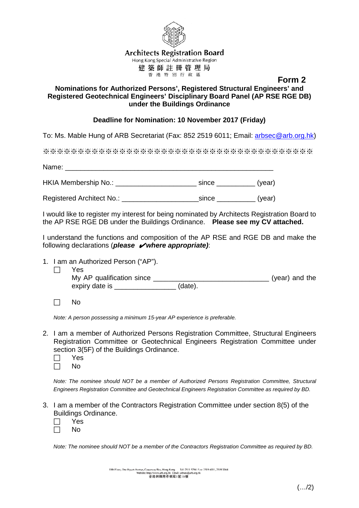

**Architects Registration Board** 

Hong Kong Special Administrative Region 建築師註冊管理局

### **Form 2 Form 2 Nominations for Authorized Persons', Registered Structural Engineers' and Registered Geotechnical Engineers' Disciplinary Board Panel (AP RSE RGE DB) under the Buildings Ordinance**

### **Deadline for Nomination: 10 November 2017 (Friday)**

To: Ms. Mable Hung of ARB Secretariat (Fax: 852 2519 6011; Email: [arbsec@arb.org.hk\)](mailto:arbsec@arb.org.hk)

※※※※※※※※※※※※※※※※※※※※※※※※※※※※※※※※※※※※※※※

Name: HKIA Membership No.: etc. and the since the since (year)

Registered Architect No.: \_\_\_\_\_\_\_\_\_\_\_\_\_\_\_\_\_\_\_\_since \_\_\_\_\_\_\_\_\_\_ (year)

I would like to register my interest for being nominated by Architects Registration Board to the AP RSE RGE DB under the Buildings Ordinance. **Please see my CV attached.** 

I understand the functions and composition of the AP RSE and RGE DB and make the following declarations (*please* ✔*where appropriate)*:

- 1. I am an Authorized Person ("AP").
	- $\Box$  Yes My AP qualification since \_\_\_\_\_\_\_\_\_\_\_\_\_\_\_\_\_\_\_\_\_\_\_\_\_\_\_\_\_\_ (year) and the expiry date is \_\_\_\_\_\_\_\_\_\_\_\_\_\_\_\_\_\_ (date).
	- $\Box$  No

*Note: A person possessing a minimum 15-year AP experience is preferable.*

- 2. I am a member of Authorized Persons Registration Committee, Structural Engineers Registration Committee or Geotechnical Engineers Registration Committee under section 3(5F) of the Buildings Ordinance.
	- $\Box$  Yes
	- $\Box$  No

*Note: The nominee should NOT be a member of Authorized Persons Registration Committee, Structural Engineers Registration Committee and Geotechnical Engineers Registration Committee as required by BD.*

- 3. I am a member of the Contractors Registration Committee under section 8(5) of the Buildings Ordinance.
	- $\Box$  Yes
	- $\Box$  No

*Note: The nominee should NOT be a member of the Contractors Registration Committee as required by BD.*

19th Floor, One Hysan Avenue, Causeway Bay, Hong Kong Tel: 2511 5794 Fax: 2519 6011, 2519 3364<br>Website: http://www.arb.org.hk Email: arbsec@arb.org.hk<br> 香港銅鑼灣希慎道1號19棟